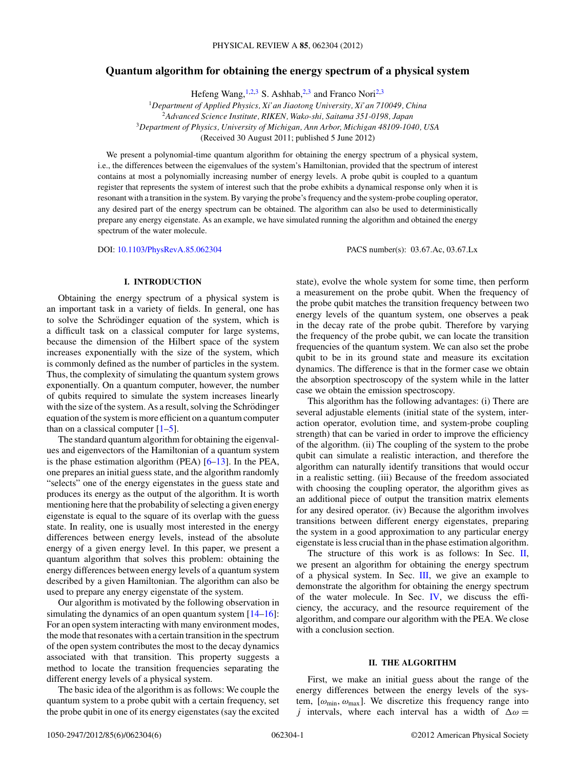# **Quantum algorithm for obtaining the energy spectrum of a physical system**

Hefeng Wang,<sup>1,2,3</sup> S. Ashhab,<sup>2,3</sup> and Franco Nori<sup>2,3</sup>

*Department of Applied Physics, Xi'an Jiaotong University, Xi'an 710049, China Advanced Science Institute, RIKEN, Wako-shi, Saitama 351-0198, Japan Department of Physics, University of Michigan, Ann Arbor, Michigan 48109-1040, USA* (Received 30 August 2011; published 5 June 2012)

We present a polynomial-time quantum algorithm for obtaining the energy spectrum of a physical system, i.e., the differences between the eigenvalues of the system's Hamiltonian, provided that the spectrum of interest contains at most a polynomially increasing number of energy levels. A probe qubit is coupled to a quantum register that represents the system of interest such that the probe exhibits a dynamical response only when it is resonant with a transition in the system. By varying the probe's frequency and the system-probe coupling operator, any desired part of the energy spectrum can be obtained. The algorithm can also be used to deterministically prepare any energy eigenstate. As an example, we have simulated running the algorithm and obtained the energy spectrum of the water molecule.

DOI: [10.1103/PhysRevA.85.062304](http://dx.doi.org/10.1103/PhysRevA.85.062304) PACS number(s): 03*.*67*.*Ac, 03*.*67*.*Lx

## **I. INTRODUCTION**

Obtaining the energy spectrum of a physical system is an important task in a variety of fields. In general, one has to solve the Schrödinger equation of the system, which is a difficult task on a classical computer for large systems, because the dimension of the Hilbert space of the system increases exponentially with the size of the system, which is commonly defined as the number of particles in the system. Thus, the complexity of simulating the quantum system grows exponentially. On a quantum computer, however, the number of qubits required to simulate the system increases linearly with the size of the system. As a result, solving the Schrödinger equation of the system is more efficient on a quantum computer than on a classical computer  $[1-5]$ .

The standard quantum algorithm for obtaining the eigenvalues and eigenvectors of the Hamiltonian of a quantum system is the phase estimation algorithm (PEA) [\[6–](#page-4-0)[13\]](#page-5-0). In the PEA, one prepares an initial guess state, and the algorithm randomly "selects" one of the energy eigenstates in the guess state and produces its energy as the output of the algorithm. It is worth mentioning here that the probability of selecting a given energy eigenstate is equal to the square of its overlap with the guess state. In reality, one is usually most interested in the energy differences between energy levels, instead of the absolute energy of a given energy level. In this paper, we present a quantum algorithm that solves this problem: obtaining the energy differences between energy levels of a quantum system described by a given Hamiltonian. The algorithm can also be used to prepare any energy eigenstate of the system.

Our algorithm is motivated by the following observation in simulating the dynamics of an open quantum system  $[14–16]$ : For an open system interacting with many environment modes, the mode that resonates with a certain transition in the spectrum of the open system contributes the most to the decay dynamics associated with that transition. This property suggests a method to locate the transition frequencies separating the different energy levels of a physical system.

The basic idea of the algorithm is as follows: We couple the quantum system to a probe qubit with a certain frequency, set the probe qubit in one of its energy eigenstates (say the excited state), evolve the whole system for some time, then perform a measurement on the probe qubit. When the frequency of the probe qubit matches the transition frequency between two energy levels of the quantum system, one observes a peak in the decay rate of the probe qubit. Therefore by varying the frequency of the probe qubit, we can locate the transition frequencies of the quantum system. We can also set the probe qubit to be in its ground state and measure its excitation dynamics. The difference is that in the former case we obtain the absorption spectroscopy of the system while in the latter case we obtain the emission spectroscopy.

This algorithm has the following advantages: (i) There are several adjustable elements (initial state of the system, interaction operator, evolution time, and system-probe coupling strength) that can be varied in order to improve the efficiency of the algorithm. (ii) The coupling of the system to the probe qubit can simulate a realistic interaction, and therefore the algorithm can naturally identify transitions that would occur in a realistic setting. (iii) Because of the freedom associated with choosing the coupling operator, the algorithm gives as an additional piece of output the transition matrix elements for any desired operator. (iv) Because the algorithm involves transitions between different energy eigenstates, preparing the system in a good approximation to any particular energy eigenstate is less crucial than in the phase estimation algorithm.

The structure of this work is as follows: In Sec. II, we present an algorithm for obtaining the energy spectrum of a physical system. In Sec.  $III$ , we give an example to demonstrate the algorithm for obtaining the energy spectrum of the water molecule. In Sec. [IV,](#page-3-0) we discuss the efficiency, the accuracy, and the resource requirement of the algorithm, and compare our algorithm with the PEA. We close with a conclusion section.

### **II. THE ALGORITHM**

First, we make an initial guess about the range of the energy differences between the energy levels of the system,  $[\omega_{min}, \omega_{max}]$ . We discretize this frequency range into *j* intervals, where each interval has a width of  $\Delta \omega =$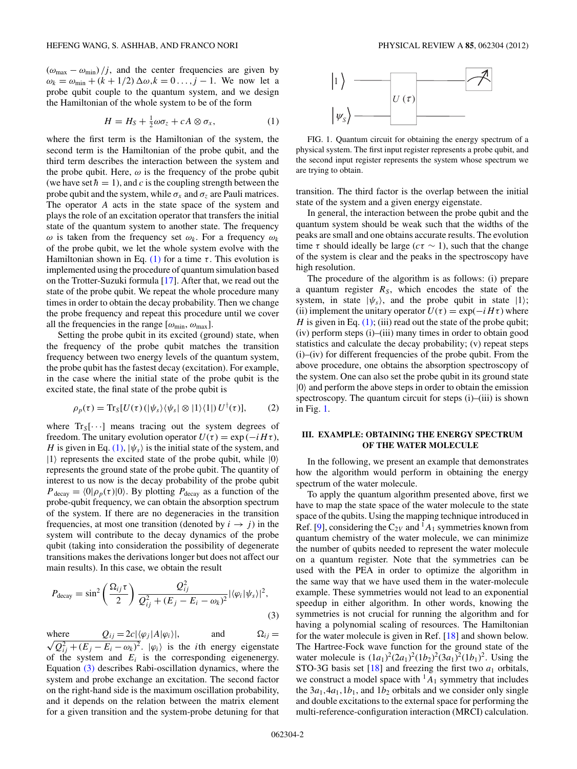<span id="page-1-0"></span> $(\omega_{\text{max}} - \omega_{\text{min}})/j$ , and the center frequencies are given by  $\omega_k = \omega_{\min} + (k + 1/2) \Delta \omega, k = 0 \ldots, j - 1$ . We now let a probe qubit couple to the quantum system, and we design the Hamiltonian of the whole system to be of the form

$$
H = H_S + \frac{1}{2}\omega\sigma_z + cA \otimes \sigma_x, \qquad (1)
$$

where the first term is the Hamiltonian of the system, the second term is the Hamiltonian of the probe qubit, and the third term describes the interaction between the system and the probe qubit. Here,  $\omega$  is the frequency of the probe qubit (we have set  $\hbar = 1$ ), and *c* is the coupling strength between the probe qubit and the system, while  $\sigma_x$  and  $\sigma_z$  are Pauli matrices. The operator *A* acts in the state space of the system and plays the role of an excitation operator that transfers the initial state of the quantum system to another state. The frequency *ω* is taken from the frequency set *ωk*. For a frequency *ωk* of the probe qubit, we let the whole system evolve with the Hamiltonian shown in Eq. (1) for a time  $\tau$ . This evolution is implemented using the procedure of quantum simulation based on the Trotter-Suzuki formula [\[17\]](#page-5-0). After that, we read out the state of the probe qubit. We repeat the whole procedure many times in order to obtain the decay probability. Then we change the probe frequency and repeat this procedure until we cover all the frequencies in the range  $[\omega_{min}, \omega_{max}]$ .

Setting the probe qubit in its excited (ground) state, when the frequency of the probe qubit matches the transition frequency between two energy levels of the quantum system, the probe qubit has the fastest decay (excitation). For example, in the case where the initial state of the probe qubit is the excited state, the final state of the probe qubit is

$$
\rho_p(\tau) = \text{Tr}_S[U(\tau) \left( |\psi_s\rangle \langle \psi_s| \otimes |1\rangle \langle 1| \right) U^{\dagger}(\tau)], \tag{2}
$$

where  $Tr_S[\cdot \cdot \cdot]$  means tracing out the system degrees of freedom. The unitary evolution operator  $U(\tau) = \exp(-i H \tau)$ , *H* is given in Eq. (1),  $|\psi_s\rangle$  is the initial state of the system, and  $|1\rangle$  represents the excited state of the probe qubit, while  $|0\rangle$ represents the ground state of the probe qubit. The quantity of interest to us now is the decay probability of the probe qubit  $P_{\text{decay}} = \langle 0 | \rho_p(\tau) | 0 \rangle$ . By plotting  $P_{\text{decay}}$  as a function of the probe-qubit frequency, we can obtain the absorption spectrum of the system. If there are no degeneracies in the transition frequencies, at most one transition (denoted by  $i \rightarrow j$ ) in the system will contribute to the decay dynamics of the probe qubit (taking into consideration the possibility of degenerate transitions makes the derivations longer but does not affect our main results). In this case, we obtain the result

$$
P_{\text{decay}} = \sin^2\left(\frac{\Omega_{ij}\tau}{2}\right) \frac{Q_{ij}^2}{Q_{ij}^2 + (E_j - E_i - \omega_k)^2} |\langle \varphi_i | \psi_s \rangle|^2,
$$
\n(3)

where  $Q_{ij} = 2c|\langle \varphi_j | A | \varphi_i \rangle|$ , and  $\Omega_{ij} = \sqrt{Q_{ij}^2 + (E_j - E_i - \omega_k)^2}$ .  $|\varphi_i\rangle$  is the *i*th energy eigenstate of the system and  $E_i$  is the corresponding eigenenergy. Equation (3) describes Rabi-oscillation dynamics, where the system and probe exchange an excitation. The second factor on the right-hand side is the maximum oscillation probability, and it depends on the relation between the matrix element for a given transition and the system-probe detuning for that



FIG. 1. Quantum circuit for obtaining the energy spectrum of a physical system. The first input register represents a probe qubit, and the second input register represents the system whose spectrum we are trying to obtain.

transition. The third factor is the overlap between the initial state of the system and a given energy eigenstate.

In general, the interaction between the probe qubit and the quantum system should be weak such that the widths of the peaks are small and one obtains accurate results. The evolution time  $\tau$  should ideally be large ( $c\tau \sim 1$ ), such that the change of the system is clear and the peaks in the spectroscopy have high resolution.

The procedure of the algorithm is as follows: (i) prepare a quantum register  $R<sub>S</sub>$ , which encodes the state of the system, in state  $|\psi_s\rangle$ , and the probe qubit in state  $|1\rangle$ ; (ii) implement the unitary operator  $U(\tau) = \exp(-i H \tau)$  where *H* is given in Eq. (1); (iii) read out the state of the probe qubit; (iv) perform steps (i)–(iii) many times in order to obtain good statistics and calculate the decay probability; (v) repeat steps (i)–(iv) for different frequencies of the probe qubit. From the above procedure, one obtains the absorption spectroscopy of the system. One can also set the probe qubit in its ground state  $|0\rangle$  and perform the above steps in order to obtain the emission spectroscopy. The quantum circuit for steps (i)–(iii) is shown in Fig. 1.

## **III. EXAMPLE: OBTAINING THE ENERGY SPECTRUM OF THE WATER MOLECULE**

In the following, we present an example that demonstrates how the algorithm would perform in obtaining the energy spectrum of the water molecule.

To apply the quantum algorithm presented above, first we have to map the state space of the water molecule to the state space of the qubits. Using the mapping technique introduced in Ref. [\[9\]](#page-5-0), considering the  $C_{2V}$  and  $^{1}A_{1}$  symmetries known from quantum chemistry of the water molecule, we can minimize the number of qubits needed to represent the water molecule on a quantum register. Note that the symmetries can be used with the PEA in order to optimize the algorithm in the same way that we have used them in the water-molecule example. These symmetries would not lead to an exponential speedup in either algorithm. In other words, knowing the symmetries is not crucial for running the algorithm and for having a polynomial scaling of resources. The Hamiltonian for the water molecule is given in Ref. [\[18\]](#page-5-0) and shown below. The Hartree-Fock wave function for the ground state of the water molecule is  $(1a_1)^2(2a_1)^2(1b_2)^2(3a_1)^2(1b_1)^2$ . Using the STO-3G basis set  $[18]$  and freezing the first two  $a_1$  orbitals, we construct a model space with  $^{1}A_{1}$  symmetry that includes the  $3a_1, 4a_1, 1b_1$ , and  $1b_2$  orbitals and we consider only single and double excitations to the external space for performing the multi-reference-configuration interaction (MRCI) calculation.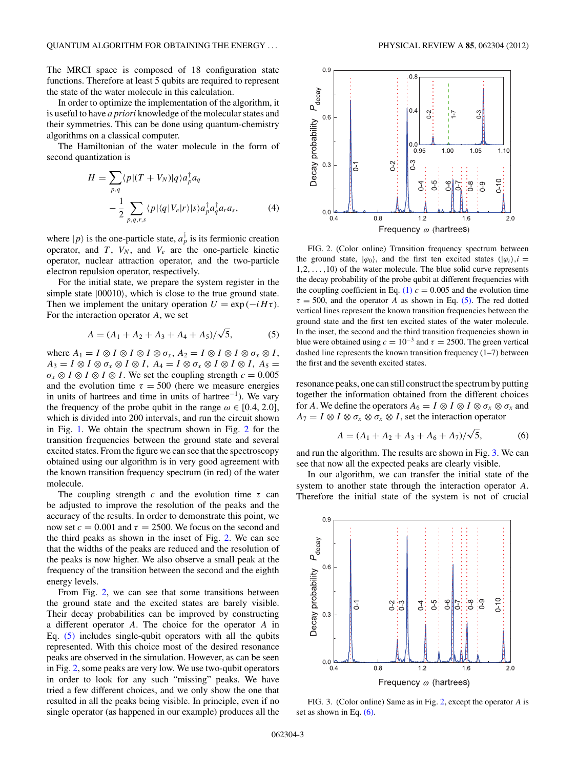<span id="page-2-0"></span>The MRCI space is composed of 18 configuration state functions. Therefore at least 5 qubits are required to represent the state of the water molecule in this calculation.

In order to optimize the implementation of the algorithm, it is useful to have *a priori* knowledge of the molecular states and their symmetries. This can be done using quantum-chemistry algorithms on a classical computer.

The Hamiltonian of the water molecule in the form of second quantization is

$$
H = \sum_{p,q} \langle p|(T + V_N)|q \rangle a_p^{\dagger} a_q
$$
  

$$
- \frac{1}{2} \sum_{p,q,r,s} \langle p|\langle q|V_e|r \rangle|s \rangle a_p^{\dagger} a_q^{\dagger} a_r a_s,
$$
 (4)

where  $|p\rangle$  is the one-particle state,  $a_p^{\dagger}$  is its fermionic creation operator, and  $T$ ,  $V_N$ , and  $V_e$  are the one-particle kinetic operator, nuclear attraction operator, and the two-particle electron repulsion operator, respectively.

For the initial state, we prepare the system register in the simple state  $|00010\rangle$ , which is close to the true ground state. Then we implement the unitary operation  $U = \exp(-iH\tau)$ . For the interaction operator *A*, we set

$$
A = (A_1 + A_2 + A_3 + A_4 + A_5)/\sqrt{5},
$$
 (5)

where  $A_1 = I \otimes I \otimes I \otimes I \otimes \sigma_x$ ,  $A_2 = I \otimes I \otimes I \otimes \sigma_x \otimes I$ ,  $A_3 = I \otimes I \otimes \sigma_x \otimes I \otimes I$ ,  $A_4 = I \otimes \sigma_x \otimes I \otimes I \otimes I$ ,  $A_5 =$  $\sigma_x \otimes I \otimes I \otimes I \otimes I$ . We set the coupling strength  $c = 0.005$ and the evolution time  $\tau = 500$  (here we measure energies in units of hartrees and time in units of hartree<sup>-1</sup>). We vary the frequency of the probe qubit in the range  $\omega \in [0.4, 2.0]$ , which is divided into 200 intervals, and run the circuit shown in Fig. [1.](#page-1-0) We obtain the spectrum shown in Fig. 2 for the transition frequencies between the ground state and several excited states. From the figure we can see that the spectroscopy obtained using our algorithm is in very good agreement with the known transition frequency spectrum (in red) of the water molecule.

The coupling strength  $c$  and the evolution time  $\tau$  can be adjusted to improve the resolution of the peaks and the accuracy of the results. In order to demonstrate this point, we now set  $c = 0.001$  and  $\tau = 2500$ . We focus on the second and the third peaks as shown in the inset of Fig. 2. We can see that the widths of the peaks are reduced and the resolution of the peaks is now higher. We also observe a small peak at the frequency of the transition between the second and the eighth energy levels.

From Fig. 2, we can see that some transitions between the ground state and the excited states are barely visible. Their decay probabilities can be improved by constructing a different operator *A*. The choice for the operator *A* in Eq. (5) includes single-qubit operators with all the qubits represented. With this choice most of the desired resonance peaks are observed in the simulation. However, as can be seen in Fig. 2, some peaks are very low. We use two-qubit operators in order to look for any such "missing" peaks. We have tried a few different choices, and we only show the one that resulted in all the peaks being visible. In principle, even if no single operator (as happened in our example) produces all the



FIG. 2. (Color online) Transition frequency spectrum between the ground state,  $|\varphi_0\rangle$ , and the first ten excited states  $(|\varphi_i\rangle, i =$ 1*,*2*,...,*10) of the water molecule. The blue solid curve represents the decay probability of the probe qubit at different frequencies with the coupling coefficient in Eq. [\(1\)](#page-1-0)  $c = 0.005$  and the evolution time  $\tau$  = 500, and the operator *A* as shown in Eq. (5). The red dotted vertical lines represent the known transition frequencies between the ground state and the first ten excited states of the water molecule. In the inset, the second and the third transition frequencies shown in blue were obtained using  $c = 10^{-3}$  and  $\tau = 2500$ . The green vertical dashed line represents the known transition frequency (1–7) between the first and the seventh excited states.

resonance peaks, one can still construct the spectrum by putting together the information obtained from the different choices for *A*. We define the operators  $A_6 = I \otimes I \otimes I \otimes \sigma_x \otimes \sigma_x$  and  $A_7 = I \otimes I \otimes \sigma_x \otimes \sigma_x \otimes I$ , set the interaction operator

$$
A = (A_1 + A_2 + A_3 + A_6 + A_7)/\sqrt{5},
$$
 (6)

and run the algorithm. The results are shown in Fig. 3. We can see that now all the expected peaks are clearly visible.

In our algorithm, we can transfer the initial state of the system to another state through the interaction operator *A*. Therefore the initial state of the system is not of crucial



FIG. 3. (Color online) Same as in Fig. 2, except the operator *A* is set as shown in Eq. (6).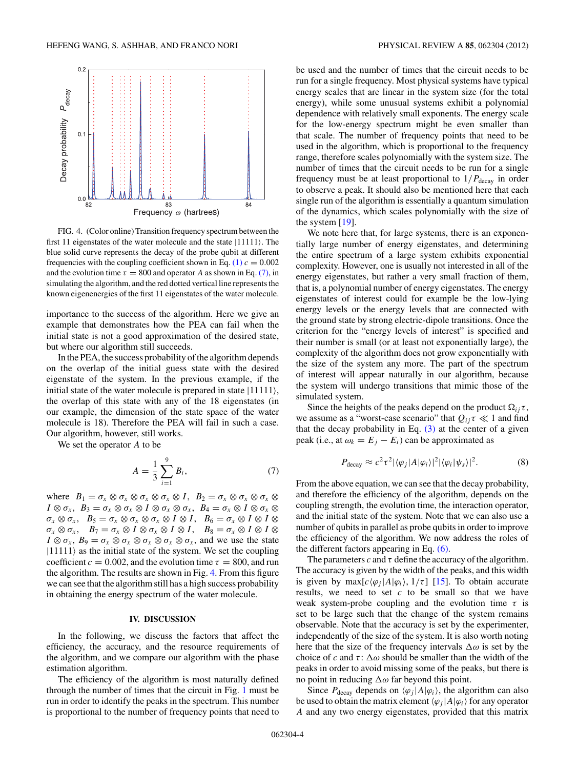<span id="page-3-0"></span>

FIG. 4. (Color online) Transition frequency spectrum between the first 11 eigenstates of the water molecule and the state  $|11111\rangle$ . The blue solid curve represents the decay of the probe qubit at different frequencies with the coupling coefficient shown in Eq.  $(1) c = 0.002$  $(1) c = 0.002$ and the evolution time  $\tau = 800$  and operator *A* as shown in Eq. (7), in simulating the algorithm, and the red dotted vertical line represents the known eigenenergies of the first 11 eigenstates of the water molecule.

importance to the success of the algorithm. Here we give an example that demonstrates how the PEA can fail when the initial state is not a good approximation of the desired state, but where our algorithm still succeeds.

In the PEA, the success probability of the algorithm depends on the overlap of the initial guess state with the desired eigenstate of the system. In the previous example, if the initial state of the water molecule is prepared in state  $|11111\rangle$ , the overlap of this state with any of the 18 eigenstates (in our example, the dimension of the state space of the water molecule is 18). Therefore the PEA will fail in such a case. Our algorithm, however, still works.

We set the operator *A* to be

$$
A = \frac{1}{3} \sum_{i=1}^{9} B_i,
$$
 (7)

where  $B_1 = \sigma_x \otimes \sigma_x \otimes \sigma_x \otimes \sigma_x \otimes I$ ,  $B_2 = \sigma_x \otimes \sigma_x \otimes \sigma_x \otimes I$  $I \otimes \sigma_x$ ,  $B_3 = \sigma_x \otimes \sigma_x \otimes I \otimes \sigma_x \otimes \sigma_x$ ,  $B_4 = \sigma_x \otimes I \otimes \sigma_x \otimes I$  $\sigma_x \otimes \sigma_x$ ,  $B_5 = \sigma_x \otimes \sigma_x \otimes \sigma_x \otimes I \otimes I$ ,  $B_6 = \sigma_x \otimes I \otimes I \otimes I$  $\sigma_x \otimes \sigma_x$ ,  $B_7 = \sigma_x \otimes I \otimes \sigma_x \otimes I \otimes I$ ,  $B_8 = \sigma_x \otimes I \otimes I \otimes I$  $I \otimes \sigma_x$ ,  $B_9 = \sigma_x \otimes \sigma_x \otimes \sigma_x \otimes \sigma_x \otimes \sigma_x$ , and we use the state  $|11111\rangle$  as the initial state of the system. We set the coupling coefficient  $c = 0.002$ , and the evolution time  $\tau = 800$ , and run the algorithm. The results are shown in Fig. 4. From this figure we can see that the algorithm still has a high success probability in obtaining the energy spectrum of the water molecule.

## **IV. DISCUSSION**

In the following, we discuss the factors that affect the efficiency, the accuracy, and the resource requirements of the algorithm, and we compare our algorithm with the phase estimation algorithm.

The efficiency of the algorithm is most naturally defined through the number of times that the circuit in Fig. [1](#page-1-0) must be run in order to identify the peaks in the spectrum. This number is proportional to the number of frequency points that need to be used and the number of times that the circuit needs to be run for a single frequency. Most physical systems have typical energy scales that are linear in the system size (for the total energy), while some unusual systems exhibit a polynomial dependence with relatively small exponents. The energy scale for the low-energy spectrum might be even smaller than that scale. The number of frequency points that need to be used in the algorithm, which is proportional to the frequency range, therefore scales polynomially with the system size. The number of times that the circuit needs to be run for a single frequency must be at least proportional to  $1/P_{\text{decay}}$  in order to observe a peak. It should also be mentioned here that each single run of the algorithm is essentially a quantum simulation of the dynamics, which scales polynomially with the size of the system [\[19\]](#page-5-0).

We note here that, for large systems, there is an exponentially large number of energy eigenstates, and determining the entire spectrum of a large system exhibits exponential complexity. However, one is usually not interested in all of the energy eigenstates, but rather a very small fraction of them, that is, a polynomial number of energy eigenstates. The energy eigenstates of interest could for example be the low-lying energy levels or the energy levels that are connected with the ground state by strong electric-dipole transitions. Once the criterion for the "energy levels of interest" is specified and their number is small (or at least not exponentially large), the complexity of the algorithm does not grow exponentially with the size of the system any more. The part of the spectrum of interest will appear naturally in our algorithm, because the system will undergo transitions that mimic those of the simulated system.

Since the heights of the peaks depend on the product  $\Omega_{ij} \tau$ , we assume as a "worst-case scenario" that  $Q_{ij}\tau \ll 1$  and find that the decay probability in Eq.  $(3)$  at the center of a given peak (i.e., at  $\omega_k = E_j - E_i$ ) can be approximated as

$$
P_{\text{decay}} \approx c^2 \tau^2 |\langle \varphi_j | A | \varphi_i \rangle|^2 |\langle \varphi_i | \psi_s \rangle|^2. \tag{8}
$$

From the above equation, we can see that the decay probability, and therefore the efficiency of the algorithm, depends on the coupling strength, the evolution time, the interaction operator, and the initial state of the system. Note that we can also use a number of qubits in parallel as probe qubits in order to improve the efficiency of the algorithm. We now address the roles of the different factors appearing in Eq. [\(6\).](#page-2-0)

The parameters  $c$  and  $\tau$  define the accuracy of the algorithm. The accuracy is given by the width of the peaks, and this width is given by  $max[c\langle\varphi_i|A|\varphi_i\rangle, 1/\tau]$  [\[15\]](#page-5-0). To obtain accurate results, we need to set *c* to be small so that we have weak system-probe coupling and the evolution time *τ* is set to be large such that the change of the system remains observable. Note that the accuracy is set by the experimenter, independently of the size of the system. It is also worth noting here that the size of the frequency intervals  $\Delta\omega$  is set by the choice of *c* and  $\tau$ :  $\Delta \omega$  should be smaller than the width of the peaks in order to avoid missing some of the peaks, but there is no point in reducing  $\Delta\omega$  far beyond this point.

Since  $P_{\text{decay}}$  depends on  $\langle \varphi_j | A | \varphi_i \rangle$ , the algorithm can also be used to obtain the matrix element  $\langle \varphi_i | A | \varphi_i \rangle$  for any operator *A* and any two energy eigenstates, provided that this matrix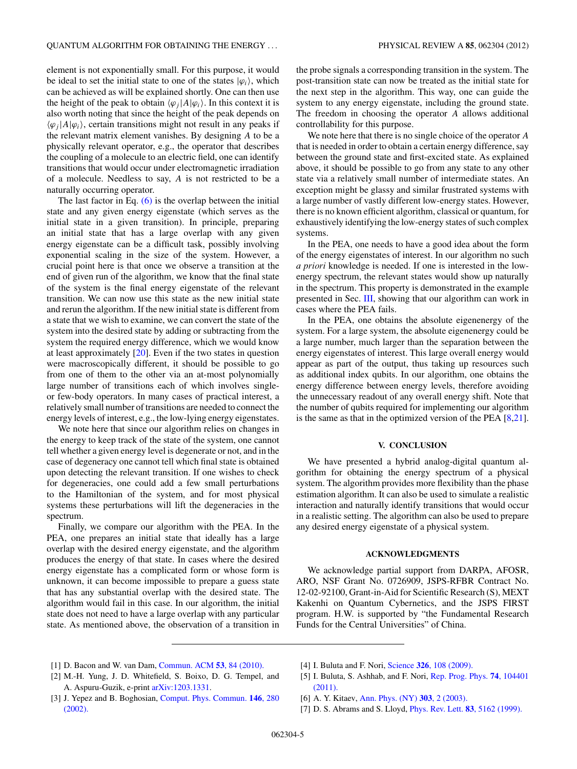<span id="page-4-0"></span>element is not exponentially small. For this purpose, it would be ideal to set the initial state to one of the states  $|\varphi_i\rangle$ , which can be achieved as will be explained shortly. One can then use the height of the peak to obtain  $\langle \varphi_j | A | \varphi_i \rangle$ . In this context it is also worth noting that since the height of the peak depends on  $\langle \varphi_i | A | \varphi_i \rangle$ , certain transitions might not result in any peaks if the relevant matrix element vanishes. By designing *A* to be a physically relevant operator, e.g., the operator that describes the coupling of a molecule to an electric field, one can identify transitions that would occur under electromagnetic irradiation of a molecule. Needless to say, *A* is not restricted to be a naturally occurring operator.

The last factor in Eq.  $(6)$  is the overlap between the initial state and any given energy eigenstate (which serves as the initial state in a given transition). In principle, preparing an initial state that has a large overlap with any given energy eigenstate can be a difficult task, possibly involving exponential scaling in the size of the system. However, a crucial point here is that once we observe a transition at the end of given run of the algorithm, we know that the final state of the system is the final energy eigenstate of the relevant transition. We can now use this state as the new initial state and rerun the algorithm. If the new initial state is different from a state that we wish to examine, we can convert the state of the system into the desired state by adding or subtracting from the system the required energy difference, which we would know at least approximately [\[20\]](#page-5-0). Even if the two states in question were macroscopically different, it should be possible to go from one of them to the other via an at-most polynomially large number of transitions each of which involves singleor few-body operators. In many cases of practical interest, a relatively small number of transitions are needed to connect the energy levels of interest, e.g., the low-lying energy eigenstates.

We note here that since our algorithm relies on changes in the energy to keep track of the state of the system, one cannot tell whether a given energy level is degenerate or not, and in the case of degeneracy one cannot tell which final state is obtained upon detecting the relevant transition. If one wishes to check for degeneracies, one could add a few small perturbations to the Hamiltonian of the system, and for most physical systems these perturbations will lift the degeneracies in the spectrum.

Finally, we compare our algorithm with the PEA. In the PEA, one prepares an initial state that ideally has a large overlap with the desired energy eigenstate, and the algorithm produces the energy of that state. In cases where the desired energy eigenstate has a complicated form or whose form is unknown, it can become impossible to prepare a guess state that has any substantial overlap with the desired state. The algorithm would fail in this case. In our algorithm, the initial state does not need to have a large overlap with any particular state. As mentioned above, the observation of a transition in

the probe signals a corresponding transition in the system. The post-transition state can now be treated as the initial state for the next step in the algorithm. This way, one can guide the system to any energy eigenstate, including the ground state. The freedom in choosing the operator *A* allows additional controllability for this purpose.

We note here that there is no single choice of the operator *A* that is needed in order to obtain a certain energy difference, say between the ground state and first-excited state. As explained above, it should be possible to go from any state to any other state via a relatively small number of intermediate states. An exception might be glassy and similar frustrated systems with a large number of vastly different low-energy states. However, there is no known efficient algorithm, classical or quantum, for exhaustively identifying the low-energy states of such complex systems.

In the PEA, one needs to have a good idea about the form of the energy eigenstates of interest. In our algorithm no such *a priori* knowledge is needed. If one is interested in the lowenergy spectrum, the relevant states would show up naturally in the spectrum. This property is demonstrated in the example presented in Sec. [III,](#page-1-0) showing that our algorithm can work in cases where the PEA fails.

In the PEA, one obtains the absolute eigenenergy of the system. For a large system, the absolute eigenenergy could be a large number, much larger than the separation between the energy eigenstates of interest. This large overall energy would appear as part of the output, thus taking up resources such as additional index qubits. In our algorithm, one obtains the energy difference between energy levels, therefore avoiding the unnecessary readout of any overall energy shift. Note that the number of qubits required for implementing our algorithm is the same as that in the optimized version of the PEA [\[8,21\]](#page-5-0).

### **V. CONCLUSION**

We have presented a hybrid analog-digital quantum algorithm for obtaining the energy spectrum of a physical system. The algorithm provides more flexibility than the phase estimation algorithm. It can also be used to simulate a realistic interaction and naturally identify transitions that would occur in a realistic setting. The algorithm can also be used to prepare any desired energy eigenstate of a physical system.

#### **ACKNOWLEDGMENTS**

We acknowledge partial support from DARPA, AFOSR, ARO, NSF Grant No. 0726909, JSPS-RFBR Contract No. 12-02-92100, Grant-in-Aid for Scientific Research (S), MEXT Kakenhi on Quantum Cybernetics, and the JSPS FIRST program. H.W. is supported by "the Fundamental Research Funds for the Central Universities" of China.

- [1] D. Bacon and W. van Dam, [Commun. ACM](http://dx.doi.org/10.1145/1646353.1646375) **53**, 84 (2010).
- [2] M.-H. Yung, J. D. Whitefield, S. Boixo, D. G. Tempel, and A. Aspuru-Guzik, e-print [arXiv:1203.1331.](http://arXiv.org/abs/arXiv:1203.1331)
- [3] J. Yepez and B. Boghosian, [Comput. Phys. Commun.](http://dx.doi.org/10.1016/S0010-4655(02)00419-8) **146**, 280 [\(2002\).](http://dx.doi.org/10.1016/S0010-4655(02)00419-8)
- [4] I. Buluta and F. Nori, Science **326**[, 108 \(2009\).](http://dx.doi.org/10.1126/science.1177838)
- [5] I. Buluta, S. Ashhab, and F. Nori, [Rep. Prog. Phys.](http://dx.doi.org/10.1088/0034-4885/74/10/104401) **74**, 104401 [\(2011\).](http://dx.doi.org/10.1088/0034-4885/74/10/104401)
- [6] A. Y. Kitaev, [Ann. Phys. \(NY\)](http://dx.doi.org/10.1016/S0003-4916(02)00018-0) **303**, 2 (2003).
- [7] D. S. Abrams and S. Lloyd, [Phys. Rev. Lett.](http://dx.doi.org/10.1103/PhysRevLett.83.5162) **83**, 5162 (1999).